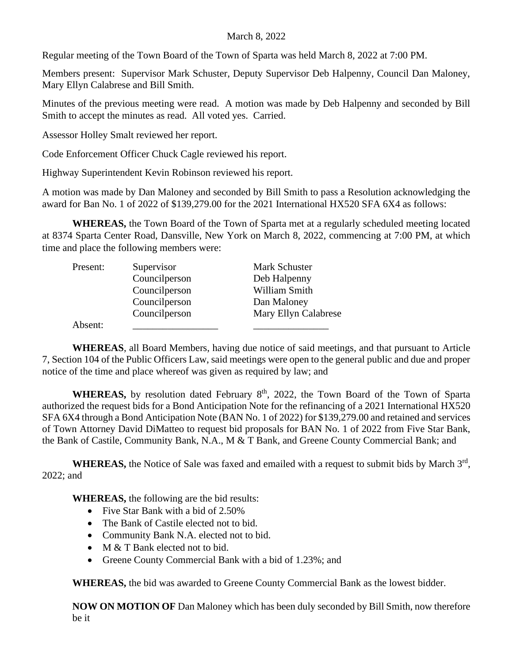## March 8, 2022

Regular meeting of the Town Board of the Town of Sparta was held March 8, 2022 at 7:00 PM.

Members present: Supervisor Mark Schuster, Deputy Supervisor Deb Halpenny, Council Dan Maloney, Mary Ellyn Calabrese and Bill Smith.

Minutes of the previous meeting were read. A motion was made by Deb Halpenny and seconded by Bill Smith to accept the minutes as read. All voted yes. Carried.

Assessor Holley Smalt reviewed her report.

Code Enforcement Officer Chuck Cagle reviewed his report.

Highway Superintendent Kevin Robinson reviewed his report.

A motion was made by Dan Maloney and seconded by Bill Smith to pass a Resolution acknowledging the award for Ban No. 1 of 2022 of \$139,279.00 for the 2021 International HX520 SFA 6X4 as follows:

**WHEREAS,** the Town Board of the Town of Sparta met at a regularly scheduled meeting located at 8374 Sparta Center Road, Dansville, New York on March 8, 2022, commencing at 7:00 PM, at which time and place the following members were:

| Present: | Supervisor    | Mark Schuster        |
|----------|---------------|----------------------|
|          | Councilperson | Deb Halpenny         |
|          | Councilperson | William Smith        |
|          | Councilperson | Dan Maloney          |
|          | Councilperson | Mary Ellyn Calabrese |
| Absent:  |               |                      |

**WHEREAS**, all Board Members, having due notice of said meetings, and that pursuant to Article 7, Section 104 of the Public Officers Law, said meetings were open to the general public and due and proper notice of the time and place whereof was given as required by law; and

WHEREAS, by resolution dated February 8<sup>th</sup>, 2022, the Town Board of the Town of Sparta authorized the request bids for a Bond Anticipation Note for the refinancing of a 2021 International HX520 SFA 6X4 through a Bond Anticipation Note (BAN No. 1 of 2022) for \$139,279.00 and retained and services of Town Attorney David DiMatteo to request bid proposals for BAN No. 1 of 2022 from Five Star Bank, the Bank of Castile, Community Bank, N.A., M & T Bank, and Greene County Commercial Bank; and

WHEREAS, the Notice of Sale was faxed and emailed with a request to submit bids by March 3<sup>rd</sup>, 2022; and

**WHEREAS,** the following are the bid results:

- Five Star Bank with a bid of 2.50%
- The Bank of Castile elected not to bid.
- Community Bank N.A. elected not to bid.
- M & T Bank elected not to bid.
- Greene County Commercial Bank with a bid of 1.23%; and

**WHEREAS,** the bid was awarded to Greene County Commercial Bank as the lowest bidder.

**NOW ON MOTION OF** Dan Maloney which has been duly seconded by Bill Smith, now therefore be it